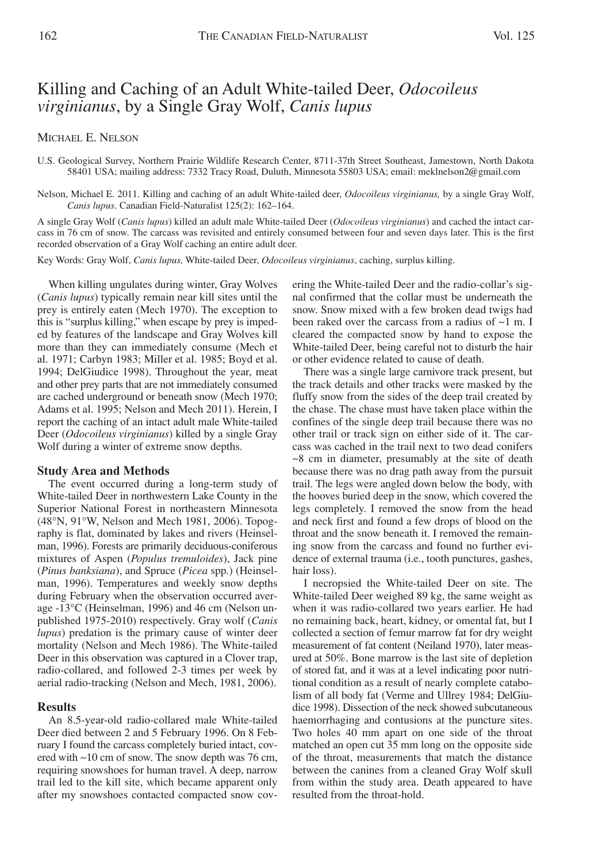# Killing and Caching of an Adult White-tailed Deer, *Odocoileus virginianus*, by a Single Gray Wolf, *Canis lupus*

## MICHAEL E. NELSON

U.S. Geological Survey, Northern Prairie Wildlife Research Center, 8711-37th Street Southeast, Jamestown, North Dakota 58401 USA; mailing address: 7332 Tracy Road, Duluth, Minnesota 55803 USA; email: meklnelson2@gmail.com

Nelson, Michael E. 2011. Killing and caching of an adult White-tailed deer, *Odocoileus virginianus,* by a single Gray Wolf, *Canis lupus*. Canadian Field-Naturalist 125(2): 162–164.

A single Gray Wolf (*Canis lupus*) killed an adult male White-tailed Deer (*Odocoileus virginianus*) and cached the intact carcass in 76 cm of snow. The carcass was revisited and entirely consumed between four and seven days later. This is the first recorded observation of a Gray Wolf caching an entire adult deer.

Key Words: Gray Wolf, *Canis lupus,* White-tailed Deer, *Odocoileus virginianus*, caching, surplus killing.

When killing ungulates during winter, Gray Wolves (*Canis lupus*) typically remain near kill sites until the prey is entirely eaten (Mech 1970). The exception to this is "surplus killing," when escape by prey is impeded by features of the landscape and Gray Wolves kill more than they can immediately consume (Mech et al. 1971; Carbyn 1983; Miller et al. 1985; Boyd et al. 1994; DelGiudice 1998). Throughout the year, meat and other prey parts that are not immediately consumed are cached underground or beneath snow (Mech 1970; Adams et al. 1995; Nelson and Mech 2011). Herein, I report the caching of an intact adult male White-tailed Deer (*Odocoileus virginianus*) killed by a single Gray Wolf during a winter of extreme snow depths.

#### **Study Area and Methods**

The event occurred during a long-term study of White-tailed Deer in northwestern Lake County in the Superior National Forest in northeastern Minnesota (48°N, 91°W, Nelson and Mech 1981, 2006). Topography is flat, dominated by lakes and rivers (Heinselman, 1996). Forests are primarily deciduous-coniferous mixtures of Aspen (*Populus tremuloides*), Jack pine (*Pinus banksiana*), and Spruce (*Picea* spp*.*) (Heinselman, 1996). Temperatures and weekly snow depths during February when the observation occurred average -13°C (Heinselman, 1996) and 46 cm (Nelson unpublished 1975-2010) respectively. Gray wolf (*Canis lupus*) predation is the primary cause of winter deer mortality (Nelson and Mech 1986). The White-tailed Deer in this observation was captured in a Clover trap, radio-collared, and followed 2-3 times per week by aerial radio-tracking (Nelson and Mech, 1981, 2006).

## **Results**

An 8.5-year-old radio-collared male White-tailed Deer died between 2 and 5 February 1996. On 8 February I found the carcass completely buried intact, covered with ~10 cm of snow. The snow depth was 76 cm, requiring snowshoes for human travel. A deep, narrow trail led to the kill site, which became apparent only after my snowshoes contacted compacted snow covering the White-tailed Deer and the radio-collar's signal confirmed that the collar must be underneath the snow. Snow mixed with a few broken dead twigs had been raked over the carcass from a radius of  $\sim$ 1 m. I cleared the compacted snow by hand to expose the White-tailed Deer, being careful not to disturb the hair or other evidence related to cause of death.

There was a single large carnivore track present, but the track details and other tracks were masked by the fluffy snow from the sides of the deep trail created by the chase. The chase must have taken place within the confines of the single deep trail because there was no other trail or track sign on either side of it. The carcass was cached in the trail next to two dead conifers  $~8$  cm in diameter, presumably at the site of death because there was no drag path away from the pursuit trail. The legs were angled down below the body, with the hooves buried deep in the snow, which covered the legs completely. I removed the snow from the head and neck first and found a few drops of blood on the throat and the snow beneath it. I removed the remaining snow from the carcass and found no further evidence of external trauma (i.e., tooth punctures, gashes, hair loss).

I necropsied the White-tailed Deer on site. The White-tailed Deer weighed 89 kg, the same weight as when it was radio-collared two years earlier. He had no remaining back, heart, kidney, or omental fat, but I collected a section of femur marrow fat for dry weight measurement of fat content (Neiland 1970), later measured at 50%. Bone marrow is the last site of depletion of stored fat, and it was at a level indicating poor nutritional condition as a result of nearly complete catabolism of all body fat (Verme and Ullrey 1984; DelGiudice 1998). Dissection of the neck showed subcutaneous haemorrhaging and contusions at the puncture sites. Two holes 40 mm apart on one side of the throat matched an open cut 35 mm long on the opposite side of the throat, measurements that match the distance between the canines from a cleaned Gray Wolf skull from within the study area. Death appeared to have resulted from the throat-hold.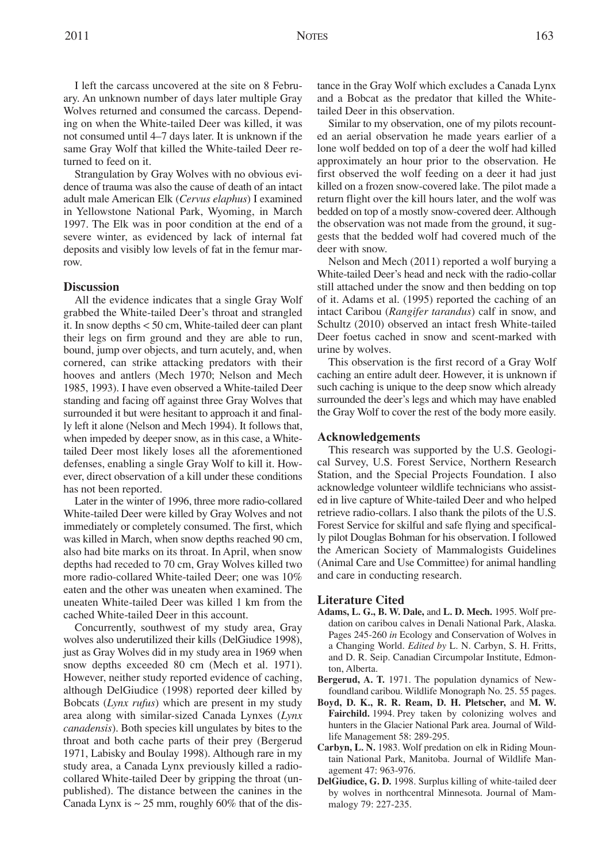I left the carcass uncovered at the site on 8 February. An unknown number of days later multiple Gray Wolves returned and consumed the carcass. Depending on when the White-tailed Deer was killed, it was not consumed until 4–7 days later. It is unknown if the same Gray Wolf that killed the White-tailed Deer returned to feed on it.

Strangulation by Gray Wolves with no obvious evidence of trauma was also the cause of death of an intact adult male American Elk (*Cervus elaphus*) I examined in Yellowstone National Park, Wyoming, in March 1997. The Elk was in poor condition at the end of a severe winter, as evidenced by lack of internal fat deposits and visibly low levels of fat in the femur marrow.

## **Discussion**

All the evidence indicates that a single Gray Wolf grabbed the White-tailed Deer's throat and strangled it. In snow depths < 50 cm, White-tailed deer can plant their legs on firm ground and they are able to run, bound, jump over objects, and turn acutely, and, when cornered, can strike attacking predators with their hooves and antlers (Mech 1970; Nelson and Mech 1985, 1993). I have even observed a White-tailed Deer standing and facing off against three Gray Wolves that surrounded it but were hesitant to approach it and finally left it alone (Nelson and Mech 1994). It follows that, when impeded by deeper snow, as in this case, a Whitetailed Deer most likely loses all the aforementioned defenses, enabling a single Gray Wolf to kill it. However, direct observation of a kill under these conditions has not been reported.

Later in the winter of 1996, three more radio-collared White-tailed Deer were killed by Gray Wolves and not immediately or completely consumed. The first, which was killed in March, when snow depths reached 90 cm, also had bite marks on its throat. In April, when snow depths had receded to 70 cm, Gray Wolves killed two more radio-collared White-tailed Deer; one was 10% eaten and the other was uneaten when examined. The uneaten White-tailed Deer was killed 1 km from the cached White-tailed Deer in this account.

Concurrently, southwest of my study area, Gray wolves also underutilized their kills (DelGiudice 1998), just as Gray Wolves did in my study area in 1969 when snow depths exceeded 80 cm (Mech et al. 1971). However, neither study reported evidence of caching, although DelGiudice (1998) reported deer killed by Bobcats (*Lynx rufus*) which are present in my study area along with similar-sized Canada Lynxes (*Lynx canadensis*). Both species kill ungulates by bites to the throat and both cache parts of their prey (Bergerud 1971, Labisky and Boulay 1998). Although rare in my study area, a Canada Lynx previously killed a radiocollared White-tailed Deer by gripping the throat (unpublished). The distance between the canines in the Canada Lynx is  $\sim$  25 mm, roughly 60% that of the distance in the Gray Wolf which excludes a Canada Lynx and a Bobcat as the predator that killed the Whitetailed Deer in this observation.

Similar to my observation, one of my pilots recounted an aerial observation he made years earlier of a lone wolf bedded on top of a deer the wolf had killed approximately an hour prior to the observation. He first observed the wolf feeding on a deer it had just killed on a frozen snow-covered lake. The pilot made a return flight over the kill hours later, and the wolf was bedded on top of a mostly snow-covered deer. Although the observation was not made from the ground, it suggests that the bedded wolf had covered much of the deer with snow.

Nelson and Mech (2011) reported a wolf burying a White-tailed Deer's head and neck with the radio-collar still attached under the snow and then bedding on top of it. Adams et al. (1995) reported the caching of an intact Caribou (*Rangifer tarandus*) calf in snow, and Schultz (2010) observed an intact fresh White-tailed Deer foetus cached in snow and scent-marked with urine by wolves.

This observation is the first record of a Gray Wolf caching an entire adult deer. However, it is unknown if such caching is unique to the deep snow which already surrounded the deer's legs and which may have enabled the Gray Wolf to cover the rest of the body more easily.

#### **Acknowledgements**

This research was supported by the U.S. Geological Survey, U.S. Forest Service, Northern Research Station, and the Special Projects Foundation. I also acknowledge volunteer wildlife technicians who assisted in live capture of White-tailed Deer and who helped retrieve radio-collars. I also thank the pilots of the U.S. Forest Service for skilful and safe flying and specifically pilot Douglas Bohman for his observation. I followed the American Society of Mammalogists Guidelines (Animal Care and Use Committee) for animal handling and care in conducting research.

#### **Literature Cited**

- **Adams, L. G., B. W. Dale,** and **L. D. Mech.** 1995. Wolf predation on caribou calves in Denali National Park, Alaska. Pages 245-260 *in* Ecology and Conservation of Wolves in a Changing World. *Edited by* L. N. Carbyn, S. H. Fritts, and D. R. Seip. Canadian Circumpolar Institute, Edmonton, Alberta.
- **Bergerud, A. T.** 1971. The population dynamics of Newfoundland caribou. Wildlife Monograph No. 25. 55 pages.
- **Boyd, D. K., R. R. Ream, D. H. Pletscher,** and **M. W. Fairchild.** 1994. Prey taken by colonizing wolves and hunters in the Glacier National Park area. Journal of Wildlife Management 58: 289-295.
- **Carbyn, L. N.** 1983. Wolf predation on elk in Riding Mountain National Park, Manitoba. Journal of Wildlife Management 47: 963-976.
- **DelGiudice, G. D.** 1998. Surplus killing of white-tailed deer by wolves in northcentral Minnesota. Journal of Mammalogy 79: 227-235.